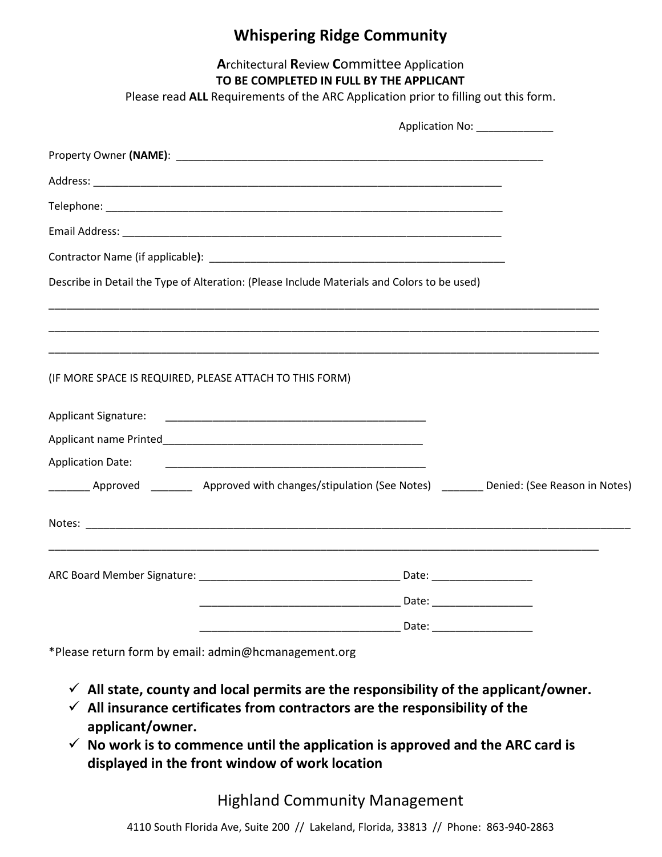### **Whispering Ridge Community**

#### **A**rchitectural **R**eview **C**ommittee Application

#### **TO BE COMPLETED IN FULL BY THE APPLICANT**

Please read **ALL** Requirements of the ARC Application prior to filling out this form.

|                          | Describe in Detail the Type of Alteration: (Please Include Materials and Colors to be used)                                                                                                                                          |  |
|--------------------------|--------------------------------------------------------------------------------------------------------------------------------------------------------------------------------------------------------------------------------------|--|
|                          |                                                                                                                                                                                                                                      |  |
|                          | ,我们也不能在这里的时候,我们也不能在这里的时候,我们也不能在这里的时候,我们也不能会不能在这里的时候,我们也不能会不能会不能会不能会不能会不能会不能会不能会不                                                                                                                                                     |  |
|                          | (IF MORE SPACE IS REQUIRED, PLEASE ATTACH TO THIS FORM)                                                                                                                                                                              |  |
|                          |                                                                                                                                                                                                                                      |  |
|                          |                                                                                                                                                                                                                                      |  |
| <b>Application Date:</b> | <u> 2000 - Johann Harry Harry Harry Harry Harry Harry Harry Harry Harry Harry Harry Harry Harry Harry Harry Harry Harry Harry Harry Harry Harry Harry Harry Harry Harry Harry Harry Harry Harry Harry Harry Harry Harry Harry Ha</u> |  |
|                          | Approved ___________ Approved with changes/stipulation (See Notes) ________ Denied: (See Reason in Notes)                                                                                                                            |  |
|                          |                                                                                                                                                                                                                                      |  |
|                          | ,我们也不能会有什么。""我们的人,我们也不能会有什么?""我们的人,我们也不能会有什么?""我们的人,我们也不能会有什么?""我们的人,我们也不能会有什么?""                                                                                                                                                    |  |
|                          |                                                                                                                                                                                                                                      |  |
|                          |                                                                                                                                                                                                                                      |  |

\*Please return form by email: admin@hcmanagement.org

- ✓ **All state, county and local permits are the responsibility of the applicant/owner.**
- ✓ **All insurance certificates from contractors are the responsibility of the applicant/owner.**
- ✓ **No work is to commence until the application is approved and the ARC card is displayed in the front window of work location**

### Highland Community Management